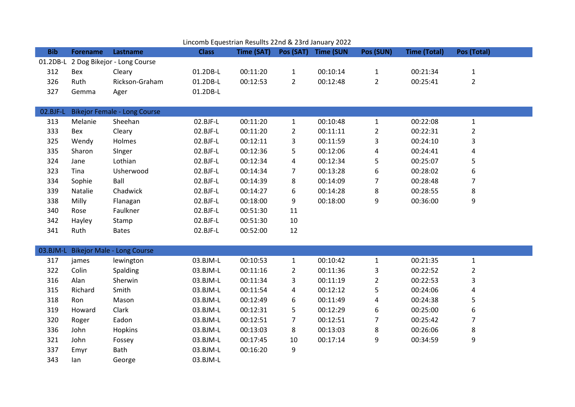| LiftConno Equestrian Results 22nd & 25rd January 2022. |                 |                                     |              |            |                |                  |                         |                     |                |  |
|--------------------------------------------------------|-----------------|-------------------------------------|--------------|------------|----------------|------------------|-------------------------|---------------------|----------------|--|
| <b>Bib</b>                                             | <b>Forename</b> | Lastname                            | <b>Class</b> | Time (SAT) | Pos (SAT)      | <b>Time (SUN</b> | Pos (SUN)               | <b>Time (Total)</b> | Pos (Total)    |  |
| $01.2DB-L$                                             |                 | 2 Dog Bikejor - Long Course         |              |            |                |                  |                         |                     |                |  |
| 312                                                    | Bex             | Cleary                              | 01.2DB-L     | 00:11:20   | $\mathbf{1}$   | 00:10:14         | $\mathbf{1}$            | 00:21:34            | $\mathbf 1$    |  |
| 326                                                    | Ruth            | Rickson-Graham                      | 01.2DB-L     | 00:12:53   | $\overline{2}$ | 00:12:48         | $\overline{2}$          | 00:25:41            | $\overline{2}$ |  |
| 327                                                    | Gemma           | Ager                                | 01.2DB-L     |            |                |                  |                         |                     |                |  |
|                                                        |                 |                                     |              |            |                |                  |                         |                     |                |  |
| 02.BJF-L                                               |                 | <b>Bikejor Female - Long Course</b> |              |            |                |                  |                         |                     |                |  |
| 313                                                    | Melanie         | Sheehan                             | 02.BJF-L     | 00:11:20   | $\mathbf{1}$   | 00:10:48         | $\mathbf 1$             | 00:22:08            | $\mathbf{1}$   |  |
| 333                                                    | Bex             | Cleary                              | 02.BJF-L     | 00:11:20   | $\overline{2}$ | 00:11:11         | $\overline{2}$          | 00:22:31            | $\overline{c}$ |  |
| 325                                                    | Wendy           | Holmes                              | 02.BJF-L     | 00:12:11   | 3              | 00:11:59         | 3                       | 00:24:10            | 3              |  |
| 335                                                    | Sharon          | Singer                              | 02.BJF-L     | 00:12:36   | 5              | 00:12:06         | 4                       | 00:24:41            | 4              |  |
| 324                                                    | Jane            | Lothian                             | 02.BJF-L     | 00:12:34   | 4              | 00:12:34         | 5                       | 00:25:07            | 5              |  |
| 323                                                    | Tina            | Usherwood                           | 02.BJF-L     | 00:14:34   | 7              | 00:13:28         | 6                       | 00:28:02            | 6              |  |
| 334                                                    | Sophie          | Ball                                | 02.BJF-L     | 00:14:39   | 8              | 00:14:09         | $\overline{7}$          | 00:28:48            | 7              |  |
| 339                                                    | Natalie         | Chadwick                            | 02.BJF-L     | 00:14:27   | 6              | 00:14:28         | 8                       | 00:28:55            | 8              |  |
| 338                                                    | Milly           | Flanagan                            | 02.BJF-L     | 00:18:00   | 9              | 00:18:00         | 9                       | 00:36:00            | 9              |  |
| 340                                                    | Rose            | Faulkner                            | 02.BJF-L     | 00:51:30   | 11             |                  |                         |                     |                |  |
| 342                                                    | Hayley          | Stamp                               | 02.BJF-L     | 00:51:30   | 10             |                  |                         |                     |                |  |
| 341                                                    | Ruth            | <b>Bates</b>                        | 02.BJF-L     | 00:52:00   | 12             |                  |                         |                     |                |  |
|                                                        |                 |                                     |              |            |                |                  |                         |                     |                |  |
| 03.BJM-L                                               |                 | <b>Bikejor Male - Long Course</b>   |              |            |                |                  |                         |                     |                |  |
| 317                                                    | james           | lewington                           | 03.BJM-L     | 00:10:53   | $\mathbf{1}$   | 00:10:42         | $\mathbf{1}$            | 00:21:35            | $\mathbf{1}$   |  |
| 322                                                    | Colin           | Spalding                            | 03.BJM-L     | 00:11:16   | $\overline{2}$ | 00:11:36         | 3                       | 00:22:52            | $\overline{2}$ |  |
| 316                                                    | Alan            | Sherwin                             | 03.BJM-L     | 00:11:34   | 3              | 00:11:19         | $\overline{2}$          | 00:22:53            | 3              |  |
| 315                                                    | Richard         | Smith                               | 03.BJM-L     | 00:11:54   | 4              | 00:12:12         | 5                       | 00:24:06            | 4              |  |
| 318                                                    | Ron             | Mason                               | 03.BJM-L     | 00:12:49   | 6              | 00:11:49         | $\overline{\mathbf{4}}$ | 00:24:38            | 5              |  |
| 319                                                    | Howard          | Clark                               | 03.BJM-L     | 00:12:31   | 5              | 00:12:29         | 6                       | 00:25:00            | 6              |  |
| 320                                                    | Roger           | Eadon                               | 03.BJM-L     | 00:12:51   | $\overline{7}$ | 00:12:51         | $\overline{7}$          | 00:25:42            | 7              |  |
| 336                                                    | John            | Hopkins                             | 03.BJM-L     | 00:13:03   | 8              | 00:13:03         | 8                       | 00:26:06            | 8              |  |
| 321                                                    | John            | Fossey                              | 03.BJM-L     | 00:17:45   | 10             | 00:17:14         | 9                       | 00:34:59            | 9              |  |
| 337                                                    | Emyr            | <b>Bath</b>                         | 03.BJM-L     | 00:16:20   | 9              |                  |                         |                     |                |  |
| 343                                                    | lan             | George                              | 03.BJM-L     |            |                |                  |                         |                     |                |  |

## Lincomb Equestrian Resullts 22nd & 23rd January 2022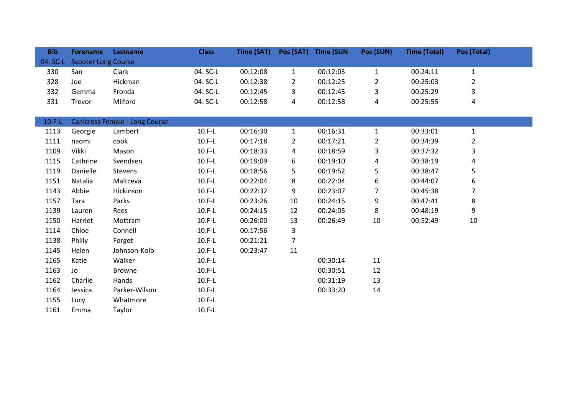| <b>Bib</b> | <b>Forename</b>            | Lastname                              | <b>Class</b> | Time (SAT) | Pos (SAT)      | <b>Time (SUN</b> | Pos (SUN)      | <b>Time (Total)</b> | Pos (Total)    |  |
|------------|----------------------------|---------------------------------------|--------------|------------|----------------|------------------|----------------|---------------------|----------------|--|
| 04. SC-L   | <b>Scooter Long Course</b> |                                       |              |            |                |                  |                |                     |                |  |
| 330        | San                        | Clark                                 | 04. SC-L     | 00:12:08   | $\mathbf{1}$   | 00:12:03         | $\mathbf{1}$   | 00:24:11            | $\mathbf{1}$   |  |
| 328        | Joe                        | Hickman                               | 04. SC-L     | 00:12:38   | $\overline{2}$ | 00:12:25         | $\overline{2}$ | 00:25:03            | $\overline{2}$ |  |
| 332        | Gemma                      | Fronda                                | 04. SC-L     | 00:12:45   | 3              | 00:12:45         | 3              | 00:25:29            | 3              |  |
| 331        | Trevor                     | Milford                               | 04. SC-L     | 00:12:58   | 4              | 00:12:58         | 4              | 00:25:55            | 4              |  |
|            |                            |                                       |              |            |                |                  |                |                     |                |  |
| $10.F-L$   |                            | <b>Canicross Female - Long Course</b> |              |            |                |                  |                |                     |                |  |
| 1113       | Georgie                    | Lambert                               | $10.F-L$     | 00:16:30   | $\mathbf{1}$   | 00:16:31         | $\mathbf{1}$   | 00:33:01            | $\mathbf{1}$   |  |
| 1111       | naomi                      | cook                                  | $10.F-L$     | 00:17:18   | $\overline{2}$ | 00:17:21         | $\overline{2}$ | 00:34:39            | $\overline{2}$ |  |
| 1109       | Vikki                      | Mason                                 | $10.F-L$     | 00:18:33   | 4              | 00:18:59         | 3              | 00:37:32            | 3              |  |
| 1115       | Cathrine                   | Svendsen                              | $10.F-L$     | 00:19:09   | 6              | 00:19:10         | 4              | 00:38:19            | 4              |  |
| 1119       | Danielle                   | Stevens                               | $10.F-L$     | 00:18:56   | 5              | 00:19:52         | 5              | 00:38:47            | 5              |  |
| 1151       | Natalia                    | Maltceva                              | $10.F-L$     | 00:22:04   | 8              | 00:22:04         | 6              | 00:44:07            | 6              |  |
| 1143       | Abbie                      | Hickinson                             | $10.F-L$     | 00:22:32   | 9              | 00:23:07         | 7              | 00:45:38            | 7              |  |
| 1157       | Tara                       | Parks                                 | $10.F-L$     | 00:23:26   | 10             | 00:24:15         | 9              | 00:47:41            | 8              |  |
| 1139       | Lauren                     | Rees                                  | $10.F-L$     | 00:24:15   | 12             | 00:24:05         | 8              | 00:48:19            | 9              |  |
| 1150       | Harriet                    | Mottram                               | $10.F-L$     | 00:26:00   | 13             | 00:26:49         | 10             | 00:52:49            | 10             |  |
| 1114       | Chloe                      | Connell                               | $10.F-L$     | 00:17:56   | 3              |                  |                |                     |                |  |
| 1138       | Philly                     | Forget                                | $10.F-L$     | 00:21:21   | $\overline{7}$ |                  |                |                     |                |  |
| 1145       | Helen                      | Johnson-Kolb                          | $10.F-L$     | 00:23:47   | 11             |                  |                |                     |                |  |
| 1165       | Katie                      | Walker                                | $10.F-L$     |            |                | 00:30:14         | 11             |                     |                |  |
| 1163       | Jo                         | <b>Browne</b>                         | $10.F-L$     |            |                | 00:30:51         | 12             |                     |                |  |
| 1162       | Charlie                    | Hands                                 | $10.F-L$     |            |                | 00:31:19         | 13             |                     |                |  |
| 1164       | Jessica                    | Parker-Wilson                         | $10.F-L$     |            |                | 00:33:20         | 14             |                     |                |  |
| 1155       | Lucy                       | Whatmore                              | $10.F-L$     |            |                |                  |                |                     |                |  |
| 1161       | Emma                       | Taylor                                | $10.F-L$     |            |                |                  |                |                     |                |  |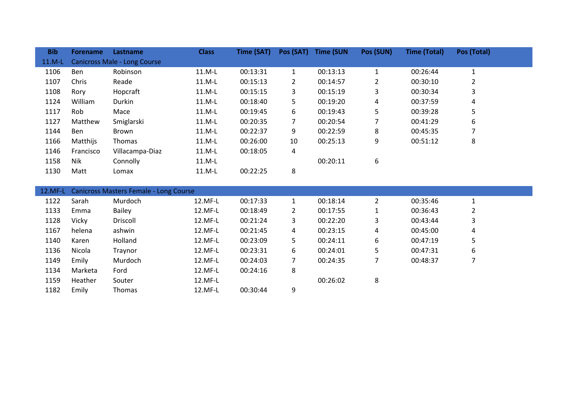| <b>Bib</b> | <b>Forename</b> | Lastname                            | <b>Class</b> | Time (SAT) | Pos (SAT)      | <b>Time (SUN</b> | Pos (SUN) | <b>Time (Total)</b> | Pos (Total) |  |
|------------|-----------------|-------------------------------------|--------------|------------|----------------|------------------|-----------|---------------------|-------------|--|
| $11.M-L$   |                 | <b>Canicross Male - Long Course</b> |              |            |                |                  |           |                     |             |  |
| 1106       | <b>Ben</b>      | Robinson                            | $11.M-L$     | 00:13:31   | $\mathbf{1}$   | 00:13:13         |           | 00:26:44            |             |  |
| 1107       | Chris           | Reade                               | $11.M-L$     | 00:15:13   | $\overline{2}$ | 00:14:57         | 2         | 00:30:10            | 2           |  |
| 1108       | Rory            | Hopcraft                            | $11.M-L$     | 00:15:15   | 3              | 00:15:19         | 3         | 00:30:34            | 3           |  |
| 1124       | William         | Durkin                              | $11.M-L$     | 00:18:40   | 5              | 00:19:20         | 4         | 00:37:59            | 4           |  |
| 1117       | Rob.            | Mace                                | $11.M-L$     | 00:19:45   | 6              | 00:19:43         | 5         | 00:39:28            | 5           |  |
| 1127       | Matthew         | Smiglarski                          | $11.M-L$     | 00:20:35   | 7              | 00:20:54         |           | 00:41:29            | 6           |  |
| 1144       | Ben             | Brown                               | $11.M-L$     | 00:22:37   | 9              | 00:22:59         | 8         | 00:45:35            | ⇁           |  |
| 1166       | Matthijs        | <b>Thomas</b>                       | $11.M-L$     | 00:26:00   | 10             | 00:25:13         | 9         | 00:51:12            | 8           |  |
| 1146       | Francisco       | Villacampa-Diaz                     | $11.M-L$     | 00:18:05   | 4              |                  |           |                     |             |  |
| 1158       | Nik             | Connolly                            | 11.M-L       |            |                | 00:20:11         | 6         |                     |             |  |
| 1130       | Matt            | Lomax                               | $11.M-L$     | 00:22:25   | 8              |                  |           |                     |             |  |

|      | 12.MF-L Canicross Masters Female - Long Course |               |         |          |   |          |   |          |   |  |  |  |
|------|------------------------------------------------|---------------|---------|----------|---|----------|---|----------|---|--|--|--|
| 1122 | Sarah                                          | Murdoch       | 12.MF-L | 00:17:33 |   | 00:18:14 |   | 00:35:46 |   |  |  |  |
| 1133 | Emma                                           | <b>Bailey</b> | 12.MF-L | 00:18:49 |   | 00:17:55 |   | 00:36:43 | 2 |  |  |  |
| 1128 | Vicky                                          | Driscoll      | 12.MF-L | 00:21:24 | 3 | 00:22:20 | 3 | 00:43:44 | 3 |  |  |  |
| 1167 | helena                                         | ashwin        | 12.MF-L | 00:21:45 | 4 | 00:23:15 | 4 | 00:45:00 | 4 |  |  |  |
| 1140 | Karen                                          | Holland       | 12.MF-L | 00:23:09 | 5 | 00:24:11 | 6 | 00:47:19 | 5 |  |  |  |
| 1136 | Nicola                                         | Traynor       | 12.MF-L | 00:23:31 | 6 | 00:24:01 | 5 | 00:47:31 | 6 |  |  |  |
| 1149 | Emily                                          | Murdoch       | 12.MF-L | 00:24:03 |   | 00:24:35 |   | 00:48:37 |   |  |  |  |
| 1134 | Marketa                                        | Ford          | 12.MF-L | 00:24:16 | 8 |          |   |          |   |  |  |  |
| 1159 | Heather                                        | Souter        | 12.MF-L |          |   | 00:26:02 | 8 |          |   |  |  |  |
| 1182 | Emily                                          | <b>Thomas</b> | 12.MF-L | 00:30:44 | 9 |          |   |          |   |  |  |  |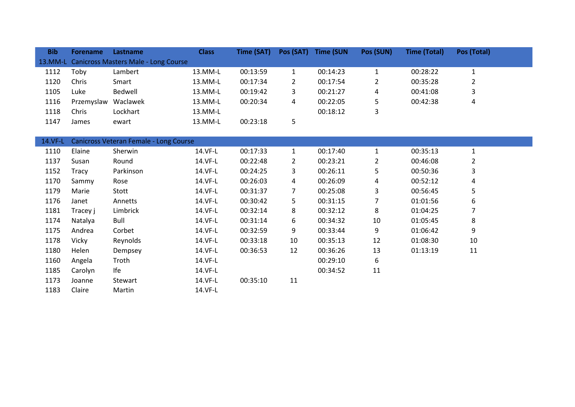| <b>Bib</b> | <b>Forename</b> | Lastname                                    | <b>Class</b> | Time (SAT) | Pos (SAT)      | <b>Time (SUN</b> | Pos (SUN)      | <b>Time (Total)</b> | Pos (Total)  |
|------------|-----------------|---------------------------------------------|--------------|------------|----------------|------------------|----------------|---------------------|--------------|
| 13.MM-L    |                 | <b>Canicross Masters Male - Long Course</b> |              |            |                |                  |                |                     |              |
| 1112       | Toby            | Lambert                                     | 13.MM-L      | 00:13:59   | $\mathbf{1}$   | 00:14:23         | $\mathbf{1}$   | 00:28:22            | $\mathbf{1}$ |
| 1120       | Chris           | Smart                                       | 13.MM-L      | 00:17:34   | $\overline{2}$ | 00:17:54         | $\overline{2}$ | 00:35:28            | $\mathbf 2$  |
| 1105       | Luke            | Bedwell                                     | 13.MM-L      | 00:19:42   | 3              | 00:21:27         | 4              | 00:41:08            | 3            |
| 1116       | Przemyslaw      | Waclawek                                    | 13.MM-L      | 00:20:34   | 4              | 00:22:05         | 5              | 00:42:38            | 4            |
| 1118       | Chris           | Lockhart                                    | 13.MM-L      |            |                | 00:18:12         | 3              |                     |              |
| 1147       | James           | ewart                                       | 13.MM-L      | 00:23:18   | 5              |                  |                |                     |              |
|            |                 |                                             |              |            |                |                  |                |                     |              |
| 14.VF-L    |                 | Canicross Veteran Female - Long Course      |              |            |                |                  |                |                     |              |
| 1110       | Elaine          | Sherwin                                     | 14.VF-L      | 00:17:33   | $\mathbf{1}$   | 00:17:40         | $\mathbf{1}$   | 00:35:13            | $\mathbf{1}$ |
| 1137       | Susan           | Round                                       | 14.VF-L      | 00:22:48   | $\overline{2}$ | 00:23:21         | $\overline{2}$ | 00:46:08            | 2            |
| 1152       | Tracy           | Parkinson                                   | 14.VF-L      | 00:24:25   | 3              | 00:26:11         | 5              | 00:50:36            | 3            |
| 1170       | Sammy           | Rose                                        | 14.VF-L      | 00:26:03   | 4              | 00:26:09         | 4              | 00:52:12            | 4            |
| 1179       | Marie           | Stott                                       | 14.VF-L      | 00:31:37   | 7              | 00:25:08         | 3              | 00:56:45            | 5            |
| 1176       | Janet           | Annetts                                     | 14.VF-L      | 00:30:42   | 5              | 00:31:15         | $\overline{7}$ | 01:01:56            | 6            |
| 1181       | Tracey j        | Limbrick                                    | 14.VF-L      | 00:32:14   | 8              | 00:32:12         | 8              | 01:04:25            | 7            |
| 1174       | Natalya         | Bull                                        | 14.VF-L      | 00:31:14   | 6              | 00:34:32         | 10             | 01:05:45            | 8            |
| 1175       | Andrea          | Corbet                                      | 14.VF-L      | 00:32:59   | 9              | 00:33:44         | 9              | 01:06:42            | 9            |
| 1178       | Vicky           | Reynolds                                    | 14.VF-L      | 00:33:18   | 10             | 00:35:13         | 12             | 01:08:30            | 10           |
| 1180       | Helen           | Dempsey                                     | 14.VF-L      | 00:36:53   | 12             | 00:36:26         | 13             | 01:13:19            | 11           |
| 1160       | Angela          | Troth                                       | 14.VF-L      |            |                | 00:29:10         | 6              |                     |              |
| 1185       | Carolyn         | Ife                                         | 14.VF-L      |            |                | 00:34:52         | 11             |                     |              |
| 1173       | Joanne          | Stewart                                     | 14.VF-L      | 00:35:10   | 11             |                  |                |                     |              |
| 1183       | Claire          | Martin                                      | 14.VF-L      |            |                |                  |                |                     |              |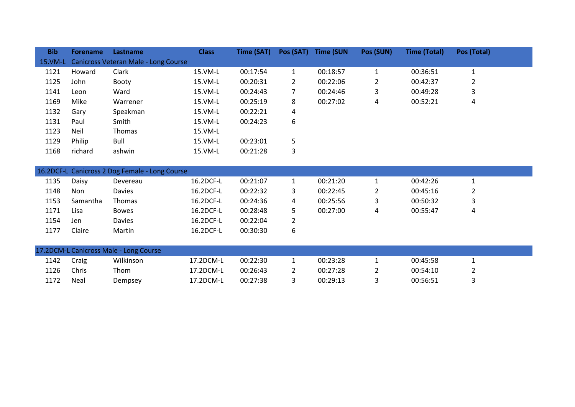| <b>Bib</b> | <b>Forename</b> | Lastname                                       | <b>Class</b> | Time (SAT) |                       | Pos (SAT) Time (SUN | Pos (SUN)      | <b>Time (Total)</b> | Pos (Total)    |
|------------|-----------------|------------------------------------------------|--------------|------------|-----------------------|---------------------|----------------|---------------------|----------------|
| 15.VM-L    |                 | Canicross Veteran Male - Long Course           |              |            |                       |                     |                |                     |                |
| 1121       | Howard          | Clark                                          | 15.VM-L      | 00:17:54   | $\mathbf{1}$          | 00:18:57            | $\mathbf{1}$   | 00:36:51            | $\mathbf{1}$   |
| 1125       | John            | <b>Booty</b>                                   | 15.VM-L      | 00:20:31   | $\mathbf{2}^{\prime}$ | 00:22:06            | $\overline{2}$ | 00:42:37            | $\overline{2}$ |
| 1141       | Leon            | Ward                                           | 15.VM-L      | 00:24:43   | 7                     | 00:24:46            | 3              | 00:49:28            | 3              |
| 1169       | Mike            | Warrener                                       | 15.VM-L      | 00:25:19   | 8                     | 00:27:02            | 4              | 00:52:21            | 4              |
| 1132       | Gary            | Speakman                                       | 15.VM-L      | 00:22:21   | 4                     |                     |                |                     |                |
| 1131       | Paul            | Smith                                          | 15.VM-L      | 00:24:23   | 6                     |                     |                |                     |                |
| 1123       | Neil            | Thomas                                         | 15.VM-L      |            |                       |                     |                |                     |                |
| 1129       | Philip          | Bull                                           | 15.VM-L      | 00:23:01   | 5                     |                     |                |                     |                |
| 1168       | richard         | ashwin                                         | 15.VM-L      | 00:21:28   | 3                     |                     |                |                     |                |
|            |                 |                                                |              |            |                       |                     |                |                     |                |
|            |                 | 16.2DCF-L Canicross 2 Dog Female - Long Course |              |            |                       |                     |                |                     |                |
| 1135       | Daisy           | Devereau                                       | 16.2DCF-L    | 00:21:07   | $\mathbf{1}$          | 00:21:20            | $\mathbf{1}$   | 00:42:26            | $\mathbf{1}$   |
| 1148       | Non             | Davies                                         | 16.2DCF-L    | 00:22:32   | 3                     | 00:22:45            | 2              | 00:45:16            | $\overline{2}$ |
| 1153       | Samantha        | <b>Thomas</b>                                  | 16.2DCF-L    | 00:24:36   | 4                     | 00:25:56            | 3              | 00:50:32            | 3              |
| 1171       | Lisa            | <b>Bowes</b>                                   | 16.2DCF-L    | 00:28:48   | 5                     | 00:27:00            | 4              | 00:55:47            | 4              |
| 1154       | Jen             | Davies                                         | 16.2DCF-L    | 00:22:04   | $\overline{2}$        |                     |                |                     |                |
| 1177       | Claire          | Martin                                         | 16.2DCF-L    | 00:30:30   | 6                     |                     |                |                     |                |
|            |                 |                                                |              |            |                       |                     |                |                     |                |
|            |                 | 17.2DCM-L Canicross Male - Long Course         |              |            |                       |                     |                |                     |                |
| 1142       | Craig           | Wilkinson                                      | 17.2DCM-L    | 00:22:30   | $\mathbf{1}$          | 00:23:28            | $\mathbf{1}$   | 00:45:58            | $\mathbf{1}$   |
| 1126       | Chris           | Thom                                           | 17.2DCM-L    | 00:26:43   | 2                     | 00:27:28            | $\overline{2}$ | 00:54:10            | 2              |

Neal Dempsey 17.2DCM-L 00:27:38 3 00:29:13 3 00:56:51 3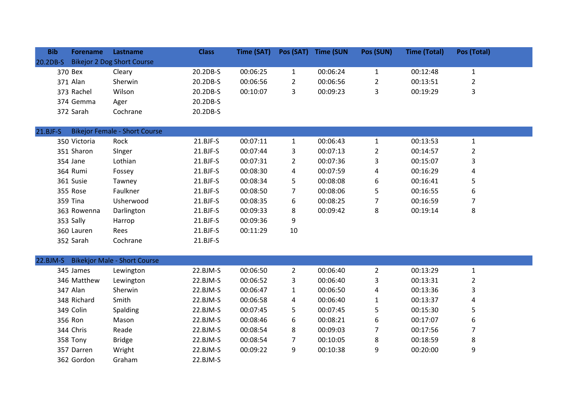| <b>Bib</b> | <b>Forename</b> | <b>Lastname</b>            | <b>Class</b> | Time (SAT) | Pos (SAT) | <b>Time (SUN</b> | Pos (SUN) | <b>Time (Total)</b> | Pos (Total) |
|------------|-----------------|----------------------------|--------------|------------|-----------|------------------|-----------|---------------------|-------------|
| 20.2DB-S   |                 | Bikejor 2 Dog Short Course |              |            |           |                  |           |                     |             |
|            | 370 Bex         | Cleary                     | 20.2DB-S     | 00:06:25   |           | 00:06:24         |           | 00:12:48            |             |
|            | 371 Alan        | Sherwin                    | 20.2DB-S     | 00:06:56   |           | 00:06:56         | 2         | 00:13:51            |             |
|            | 373 Rachel      | Wilson                     | 20.2DB-S     | 00:10:07   |           | 00:09:23         |           | 00:19:29            |             |
|            | 374 Gemma       | Ager                       | 20.2DB-S     |            |           |                  |           |                     |             |
|            | 372 Sarah       | Cochrane                   | 20.2DB-S     |            |           |                  |           |                     |             |

## 21.BJF-S Bikejor Female - Short Course

| 350 Victoria | Rock       | $21.BJF-S$ | 00:07:11 |    | 00:06:43 |   | 00:13:53 |   |  |
|--------------|------------|------------|----------|----|----------|---|----------|---|--|
| 351 Sharon   | Singer     | $21.BJF-S$ | 00:07:44 | 3  | 00:07:13 | 2 | 00:14:57 |   |  |
| 354 Jane     | Lothian    | $21.BJF-S$ | 00:07:31 | 2  | 00:07:36 | 3 | 00:15:07 | 3 |  |
| 364 Rumi     | Fossey     | $21.BJF-S$ | 00:08:30 | 4  | 00:07:59 | 4 | 00:16:29 | 4 |  |
| 361 Susie    | Tawney     | $21.BJF-S$ | 00:08:34 | 5  | 00:08:08 | 6 | 00:16:41 | 5 |  |
| 355 Rose     | Faulkner   | $21.BJF-S$ | 00:08:50 |    | 00:08:06 | 5 | 00:16:55 | 6 |  |
| 359 Tina     | Usherwood  | $21.BJF-S$ | 00:08:35 | 6  | 00:08:25 |   | 00:16:59 |   |  |
| 363 Rowenna  | Darlington | $21.BJF-S$ | 00:09:33 | 8  | 00:09:42 | 8 | 00:19:14 | 8 |  |
| 353 Sally    | Harrop     | $21.BJF-S$ | 00:09:36 | 9  |          |   |          |   |  |
| 360 Lauren   | Rees       | $21.BJF-S$ | 00:11:29 | 10 |          |   |          |   |  |
| 352 Sarah    | Cochrane   | $21.BJF-S$ |          |    |          |   |          |   |  |

| 345 James   | Lewington     | $22.BJM-S$ | 00:06:50 |   | 00:06:40 |   | 00:13:29 |   |
|-------------|---------------|------------|----------|---|----------|---|----------|---|
| 346 Matthew | Lewington     | $22.BJM-S$ | 00:06:52 | 3 | 00:06:40 | 3 | 00:13:31 |   |
| 347 Alan    | Sherwin       | $22.BJM-S$ | 00:06:47 |   | 00:06:50 | 4 | 00:13:36 | 3 |
| 348 Richard | Smith         | $22.BJM-S$ | 00:06:58 | 4 | 00:06:40 |   | 00:13:37 | 4 |
| 349 Colin   | Spalding      | $22.BJM-S$ | 00:07:45 | 5 | 00:07:45 | 5 | 00:15:30 | כ |
| 356 Ron     | Mason         | $22.BJM-S$ | 00:08:46 | 6 | 00:08:21 | 6 | 00:17:07 | 6 |
| 344 Chris   | Reade         | $22.BJM-S$ | 00:08:54 | 8 | 00:09:03 |   | 00:17:56 |   |
| 358 Tony    | <b>Bridge</b> | $22.BJM-S$ | 00:08:54 |   | 00:10:05 | 8 | 00:18:59 | 8 |
| 357 Darren  | Wright        | $22.BJM-S$ | 00:09:22 | 9 | 00:10:38 | 9 | 00:20:00 | 9 |
| 362 Gordon  | Graham        | $22.BJM-S$ |          |   |          |   |          |   |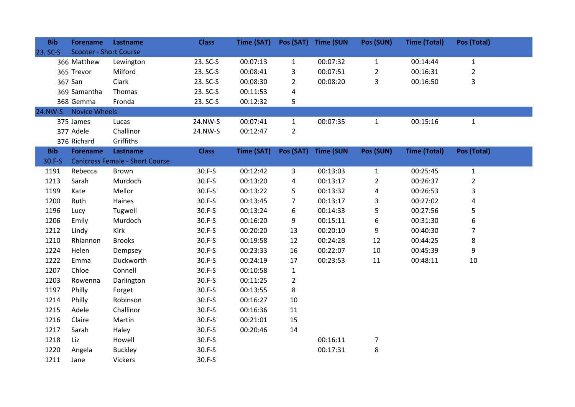| <b>Bib</b> | <b>Forename</b>               | Lastname                               | <b>Class</b> | Time (SAT) |                | Pos (SAT) Time (SUN | Pos (SUN)      | <b>Time (Total)</b> | Pos (Total)    |
|------------|-------------------------------|----------------------------------------|--------------|------------|----------------|---------------------|----------------|---------------------|----------------|
| 23. SC-S   | <b>Scooter - Short Course</b> |                                        |              |            |                |                     |                |                     |                |
|            | 366 Matthew                   | Lewington                              | 23. SC-S     | 00:07:13   | $\mathbf{1}$   | 00:07:32            | $\mathbf{1}$   | 00:14:44            | $\mathbf{1}$   |
|            | 365 Trevor                    | Milford                                | 23. SC-S     | 00:08:41   | 3              | 00:07:51            | $\overline{2}$ | 00:16:31            | $\overline{2}$ |
|            | 367 San                       | Clark                                  | 23. SC-S     | 00:08:30   | $\overline{2}$ | 00:08:20            | 3              | 00:16:50            | 3              |
|            | 369 Samantha                  | Thomas                                 | 23. SC-S     | 00:11:53   | 4              |                     |                |                     |                |
|            | 368 Gemma                     | Fronda                                 | 23. SC-S     | 00:12:32   | 5              |                     |                |                     |                |
|            | 24.NW-S Novice Wheels         |                                        |              |            |                |                     |                |                     |                |
|            | 375 James                     | Lucas                                  | 24.NW-S      | 00:07:41   | $\mathbf{1}$   | 00:07:35            | $\mathbf{1}$   | 00:15:16            | $\mathbf{1}$   |
|            | 377 Adele                     | Challinor                              | 24.NW-S      | 00:12:47   | $\overline{2}$ |                     |                |                     |                |
|            | 376 Richard                   | Griffiths                              |              |            |                |                     |                |                     |                |
| <b>Bib</b> | <b>Forename</b>               | Lastname                               | <b>Class</b> | Time (SAT) | Pos (SAT)      | <b>Time (SUN</b>    | Pos (SUN)      | <b>Time (Total)</b> | Pos (Total)    |
| 30.F-S     |                               | <b>Canicross Female - Short Course</b> |              |            |                |                     |                |                     |                |
| 1191       | Rebecca                       | Brown                                  | 30.F-S       | 00:12:42   | 3              | 00:13:03            | $\mathbf{1}$   | 00:25:45            | $\mathbf{1}$   |
| 1213       | Sarah                         | Murdoch                                | $30.F-S$     | 00:13:20   | 4              | 00:13:17            | 2              | 00:26:37            | $\overline{2}$ |
| 1199       | Kate                          | Mellor                                 | 30.F-S       | 00:13:22   | 5              | 00:13:32            | 4              | 00:26:53            | 3              |
| 1200       | Ruth                          | Haines                                 | 30.F-S       | 00:13:45   | 7              | 00:13:17            | 3              | 00:27:02            | 4              |
| 1196       | Lucy                          | Tugwell                                | 30.F-S       | 00:13:24   | 6              | 00:14:33            | 5              | 00:27:56            | 5              |
| 1206       | Emily                         | Murdoch                                | $30.F-S$     | 00:16:20   | 9              | 00:15:11            | 6              | 00:31:30            | 6              |
| 1212       | Lindy                         | <b>Kirk</b>                            | $30.F-S$     | 00:20:20   | 13             | 00:20:10            | 9              | 00:40:30            | 7              |
| 1210       | Rhiannon                      | <b>Brooks</b>                          | $30.F-S$     | 00:19:58   | 12             | 00:24:28            | 12             | 00:44:25            | 8              |
| 1224       | Helen                         | Dempsey                                | $30.F-S$     | 00:23:33   | 16             | 00:22:07            | 10             | 00:45:39            | 9              |
| 1222       | Emma                          | Duckworth                              | 30.F-S       | 00:24:19   | 17             | 00:23:53            | 11             | 00:48:11            | $10\,$         |
| 1207       | Chloe                         | Connell                                | $30.F-S$     | 00:10:58   | $\mathbf{1}$   |                     |                |                     |                |
| 1203       | Rowenna                       | Darlington                             | $30.F-S$     | 00:11:25   | $\overline{2}$ |                     |                |                     |                |
| 1197       | Philly                        | Forget                                 | 30.F-S       | 00:13:55   | 8              |                     |                |                     |                |
| 1214       | Philly                        | Robinson                               | 30.F-S       | 00:16:27   | 10             |                     |                |                     |                |
| 1215       | Adele                         | Challinor                              | 30.F-S       | 00:16:36   | 11             |                     |                |                     |                |
| 1216       | Claire                        | Martin                                 | 30.F-S       | 00:21:01   | 15             |                     |                |                     |                |
| 1217       | Sarah                         | Haley                                  | 30.F-S       | 00:20:46   | 14             |                     |                |                     |                |
| 1218       | Liz                           | Howell                                 | 30.F-S       |            |                | 00:16:11            | $\overline{7}$ |                     |                |
| 1220       | Angela                        | <b>Buckley</b>                         | 30.F-S       |            |                | 00:17:31            | $\bf 8$        |                     |                |
| 1211       | Jane                          | Vickers                                | 30.F-S       |            |                |                     |                |                     |                |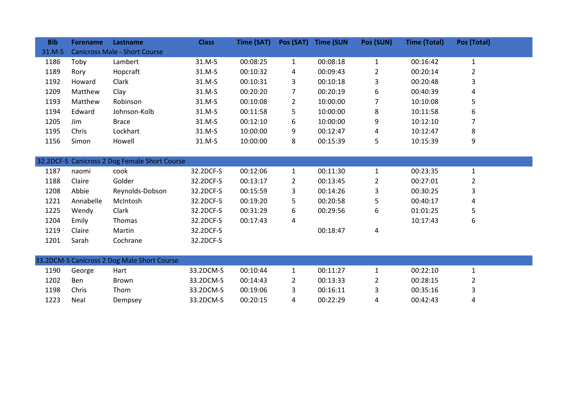| <b>Bib</b> | <b>Forename</b> | Lastname                                      | <b>Class</b> | Time (SAT) | Pos (SAT)      | <b>Time (SUN</b> | Pos (SUN)      | <b>Time (Total)</b> | Pos (Total)    |  |
|------------|-----------------|-----------------------------------------------|--------------|------------|----------------|------------------|----------------|---------------------|----------------|--|
| 31.M-S     |                 | <b>Canicross Male - Short Course</b>          |              |            |                |                  |                |                     |                |  |
| 1186       | Toby            | Lambert                                       | 31.M-S       | 00:08:25   | $\mathbf{1}$   | 00:08:18         | $\mathbf{1}$   | 00:16:42            | $\mathbf{1}$   |  |
| 1189       | Rory            | Hopcraft                                      | 31.M-S       | 00:10:32   | 4              | 00:09:43         | 2              | 00:20:14            | $\overline{2}$ |  |
| 1192       | Howard          | Clark                                         | 31.M-S       | 00:10:31   | 3              | 00:10:18         | 3              | 00:20:48            | 3              |  |
| 1209       | Matthew         | Clay                                          | 31.M-S       | 00:20:20   | 7              | 00:20:19         | 6              | 00:40:39            | 4              |  |
| 1193       | Matthew         | Robinson                                      | 31.M-S       | 00:10:08   | $\overline{2}$ | 10:00:00         | 7              | 10:10:08            | 5              |  |
| 1194       | Edward          | Johnson-Kolb                                  | 31.M-S       | 00:11:58   | 5              | 10:00:00         | 8              | 10:11:58            | 6              |  |
| 1205       | Jim             | <b>Brace</b>                                  | 31.M-S       | 00:12:10   | 6              | 10:00:00         | 9              | 10:12:10            | 7              |  |
| 1195       | Chris           | Lockhart                                      | 31.M-S       | 10:00:00   | 9              | 00:12:47         | 4              | 10:12:47            | 8              |  |
| 1156       | Simon           | Howell                                        | 31.M-S       | 10:00:00   | 8              | 00:15:39         | 5              | 10:15:39            | 9              |  |
|            |                 |                                               |              |            |                |                  |                |                     |                |  |
|            |                 | 32.2DCF-S Canicross 2 Dog Female Short Course |              |            |                |                  |                |                     |                |  |
| 1187       | naomi           | cook                                          | 32.2DCF-S    | 00:12:06   | $\mathbf{1}$   | 00:11:30         | $\mathbf{1}$   | 00:23:35            | $\mathbf{1}$   |  |
| 1188       | Claire          | Golder                                        | 32.2DCF-S    | 00:13:17   | $\mathbf{2}$   | 00:13:45         | $\overline{2}$ | 00:27:01            | $\overline{2}$ |  |
| 1208       | Abbie           | Reynolds-Dobson                               | 32.2DCF-S    | 00:15:59   | 3              | 00:14:26         | 3              | 00:30:25            | 3              |  |
| 1221       | Annabelle       | McIntosh                                      | 32.2DCF-S    | 00:19:20   | 5              | 00:20:58         | 5              | 00:40:17            | 4              |  |
| 1225       | Wendy           | Clark                                         | 32.2DCF-S    | 00:31:29   | 6              | 00:29:56         | 6              | 01:01:25            | 5              |  |
| 1204       | Emily           | Thomas                                        | 32.2DCF-S    | 00:17:43   | 4              |                  |                | 10:17:43            | 6              |  |
| 1219       | Claire          | Martin                                        | 32.2DCF-S    |            |                | 00:18:47         | 4              |                     |                |  |
| 1201       | Sarah           | Cochrane                                      | 32.2DCF-S    |            |                |                  |                |                     |                |  |
|            |                 |                                               |              |            |                |                  |                |                     |                |  |
|            |                 | 33.2DCM-S Canicross 2 Dog Male Short Course   |              |            |                |                  |                |                     |                |  |
| 1190       | George          | Hart                                          | 33.2DCM-S    | 00:10:44   | $\mathbf{1}$   | 00:11:27         | $\mathbf{1}$   | 00:22:10            | $\mathbf{1}$   |  |
| 1202       | Ben             | Brown                                         | 33.2DCM-S    | 00:14:43   | $\mathbf{2}$   | 00:13:33         | 2              | 00:28:15            | 2              |  |
| 1198       | Chris           | Thom                                          | 33.2DCM-S    | 00:19:06   | 3              | 00:16:11         | 3              | 00:35:16            | 3              |  |
| 1223       | Neal            | Dempsey                                       | 33.2DCM-S    | 00:20:15   | 4              | 00:22:29         | 4              | 00:42:43            | 4              |  |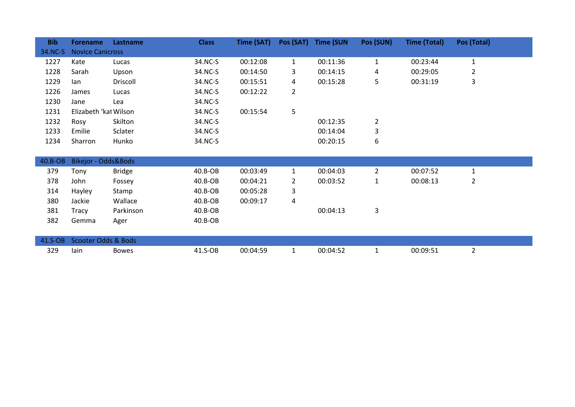| <b>Bib</b> | <b>Forename</b>                | Lastname      | <b>Class</b> | Time (SAT) | Pos (SAT)      | <b>Time (SUN</b> | Pos (SUN)      | <b>Time (Total)</b> | Pos (Total)    |
|------------|--------------------------------|---------------|--------------|------------|----------------|------------------|----------------|---------------------|----------------|
| 34.NC-S    | <b>Novice Canicross</b>        |               |              |            |                |                  |                |                     |                |
| 1227       | Kate                           | Lucas         | 34.NC-S      | 00:12:08   | $\mathbf{1}$   | 00:11:36         | $\mathbf{1}$   | 00:23:44            | $\mathbf{1}$   |
| 1228       | Sarah                          | Upson         | 34.NC-S      | 00:14:50   | 3              | 00:14:15         | 4              | 00:29:05            | $\overline{2}$ |
| 1229       | lan                            | Driscoll      | 34.NC-S      | 00:15:51   | 4              | 00:15:28         | 5              | 00:31:19            | 3              |
| 1226       | James                          | Lucas         | 34.NC-S      | 00:12:22   | $\overline{2}$ |                  |                |                     |                |
| 1230       | Jane                           | Lea           | 34.NC-S      |            |                |                  |                |                     |                |
| 1231       | Elizabeth 'kat Wilson          |               | 34.NC-S      | 00:15:54   | 5              |                  |                |                     |                |
| 1232       | Rosy                           | Skilton       | 34.NC-S      |            |                | 00:12:35         | $\overline{2}$ |                     |                |
| 1233       | Emilie                         | Sclater       | 34.NC-S      |            |                | 00:14:04         | 3              |                     |                |
| 1234       | Sharron                        | Hunko         | 34.NC-S      |            |                | 00:20:15         | 6              |                     |                |
|            |                                |               |              |            |                |                  |                |                     |                |
| 40.B-OB    | Bikejor - Odds&Bods            |               |              |            |                |                  |                |                     |                |
| 379        | Tony                           | <b>Bridge</b> | $40.B-OB$    | 00:03:49   | $\mathbf{1}$   | 00:04:03         | $\overline{2}$ | 00:07:52            | $\mathbf{1}$   |
| 378        | John                           | Fossey        | $40.B-OB$    | 00:04:21   | $\mathbf{2}$   | 00:03:52         | $\mathbf{1}$   | 00:08:13            | 2              |
| 314        | Hayley                         | Stamp         | 40.B-OB      | 00:05:28   | 3              |                  |                |                     |                |
| 380        | Jackie                         | Wallace       | 40.B-OB      | 00:09:17   | 4              |                  |                |                     |                |
| 381        | Tracy                          | Parkinson     | $40.B-OB$    |            |                | 00:04:13         | 3              |                     |                |
| 382        | Gemma                          | Ager          | $40.B-OB$    |            |                |                  |                |                     |                |
|            |                                |               |              |            |                |                  |                |                     |                |
| 41.S-OB    | <b>Scooter Odds &amp; Bods</b> |               |              |            |                |                  |                |                     |                |
| 329        | lain                           | <b>Bowes</b>  | 41.S-OB      | 00:04:59   | $\mathbf{1}$   | 00:04:52         | 1              | 00:09:51            | $\overline{2}$ |